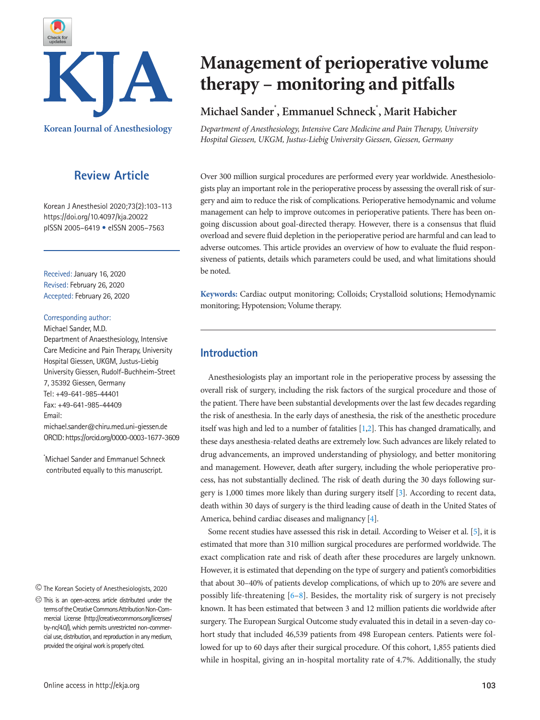

**Korean Journal of Anesthesiology**

# **Review Article**

Korean J Anesthesiol 2020;73(2):103-113 https://doi.org/10.4097/kja.20022 pISSN 2005–6419 • eISSN 2005–7563

Received: January 16, 2020 Revised: February 26, 2020 Accepted: February 26, 2020

#### Corresponding author:

Michael Sander, M.D.

Department of Anaesthesiology, Intensive Care Medicine and Pain Therapy, University Hospital Giessen, UKGM, Justus-Liebig University Giessen, Rudolf-Buchheim-Street 7, 35392 Giessen, Germany Tel: +49-641-985-44401 Fax: +49-641-985-44409 Email: michael.sander@chiru.med.uni-giessen.de

\* Michael Sander and Emmanuel Schneck contributed equally to this manuscript.

ORCID: https://orcid.org/0000-0003-1677-3609

The Korean Society of Anesthesiologists, 2020

# **Management of perioperative volume therapy – monitoring and pitfalls**

# **Michael Sander\* , Emmanuel Schneck\* , Marit Habicher**

*Department of Anesthesiology, Intensive Care Medicine and Pain Therapy, University Hospital Giessen, UKGM, Justus-Liebig University Giessen, Giessen, Germany* 

Over 300 million surgical procedures are performed every year worldwide. Anesthesiologists play an important role in the perioperative process by assessing the overall risk of surgery and aim to reduce the risk of complications. Perioperative hemodynamic and volume management can help to improve outcomes in perioperative patients. There has been ongoing discussion about goal-directed therapy. However, there is a consensus that fluid overload and severe fluid depletion in the perioperative period are harmful and can lead to adverse outcomes. This article provides an overview of how to evaluate the fluid responsiveness of patients, details which parameters could be used, and what limitations should be noted.

**Keywords:** Cardiac output monitoring; Colloids; Crystalloid solutions; Hemodynamic monitoring; Hypotension; Volume therapy.

# **Introduction**

Anesthesiologists play an important role in the perioperative process by assessing the overall risk of surgery, including the risk factors of the surgical procedure and those of the patient. There have been substantial developments over the last few decades regarding the risk of anesthesia. In the early days of anesthesia, the risk of the anesthetic procedure itself was high and led to a number of fatalities [\[1](#page-7-0)[,2\]](#page-7-1). This has changed dramatically, and these days anesthesia-related deaths are extremely low. Such advances are likely related to drug advancements, an improved understanding of physiology, and better monitoring and management. However, death after surgery, including the whole perioperative process, has not substantially declined. The risk of death during the 30 days following surgery is 1,000 times more likely than during surgery itself [\[3](#page-7-2)]. According to recent data, death within 30 days of surgery is the third leading cause of death in the United States of America, behind cardiac diseases and malignancy [\[4\]](#page-7-3).

Some recent studies have assessed this risk in detail. According to Weiser et al. [\[5\]](#page-7-4), it is estimated that more than 310 million surgical procedures are performed worldwide. The exact complication rate and risk of death after these procedures are largely unknown. However, it is estimated that depending on the type of surgery and patient's comorbidities that about 30–40% of patients develop complications, of which up to 20% are severe and possibly life-threatening  $[6-8]$  $[6-8]$  $[6-8]$ . Besides, the mortality risk of surgery is not precisely known. It has been estimated that between 3 and 12 million patients die worldwide after surgery. The European Surgical Outcome study evaluated this in detail in a seven-day cohort study that included 46,539 patients from 498 European centers. Patients were followed for up to 60 days after their surgical procedure. Of this cohort, 1,855 patients died while in hospital, giving an in-hospital mortality rate of 4.7%. Additionally, the study

This is an open-access article distributed under the terms of the Creative Commons Attribution Non-Commercial License (http://creativecommons.org/licenses/ by-nc/4.0/), which permits unrestricted non-commercial use, distribution, and reproduction in any medium, provided the original work is properly cited.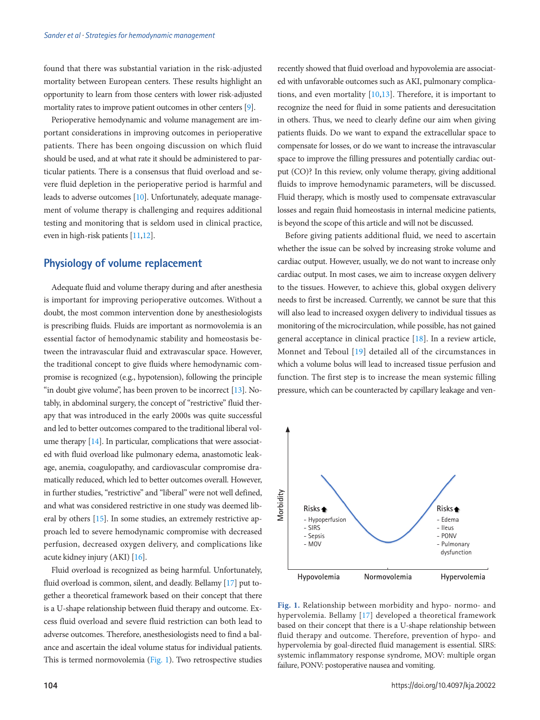found that there was substantial variation in the risk-adjusted mortality between European centers. These results highlight an opportunity to learn from those centers with lower risk-adjusted mortality rates to improve patient outcomes in other centers [\[9\]](#page-7-7).

Perioperative hemodynamic and volume management are important considerations in improving outcomes in perioperative patients. There has been ongoing discussion on which fluid should be used, and at what rate it should be administered to particular patients. There is a consensus that fluid overload and severe fluid depletion in the perioperative period is harmful and leads to adverse outcomes [\[10\]](#page-7-8). Unfortunately, adequate management of volume therapy is challenging and requires additional testing and monitoring that is seldom used in clinical practice, even in high-risk patients [\[11](#page-7-9)[,12\]](#page-7-7).

### **Physiology of volume replacement**

Adequate fluid and volume therapy during and after anesthesia is important for improving perioperative outcomes. Without a doubt, the most common intervention done by anesthesiologists is prescribing fluids. Fluids are important as normovolemia is an essential factor of hemodynamic stability and homeostasis between the intravascular fluid and extravascular space. However, the traditional concept to give fluids where hemodynamic compromise is recognized (e.g., hypotension), following the principle "in doubt give volume", has been proven to be incorrect [\[13\]](#page-7-10). Notably, in abdominal surgery, the concept of "restrictive" fluid therapy that was introduced in the early 2000s was quite successful and led to better outcomes compared to the traditional liberal volume therapy [\[14](#page-7-11)]. In particular, complications that were associated with fluid overload like pulmonary edema, anastomotic leakage, anemia, coagulopathy, and cardiovascular compromise dramatically reduced, which led to better outcomes overall. However, in further studies, "restrictive" and "liberal" were not well defined, and what was considered restrictive in one study was deemed liberal by others [\[15](#page-7-12)]. In some studies, an extremely restrictive approach led to severe hemodynamic compromise with decreased perfusion, decreased oxygen delivery, and complications like acute kidney injury (AKI) [\[16\]](#page-7-13).

Fluid overload is recognized as being harmful. Unfortunately, fluid overload is common, silent, and deadly. Bellamy [17] put together a theoretical framework based on their concept that there is a U-shape relationship between fluid therapy and outcome. Excess fluid overload and severe fluid restriction can both lead to adverse outcomes. Therefore, anesthesiologists need to find a balance and ascertain the ideal volume status for individual patients. This is termed normovolemia [\(Fig. 1](#page-1-0)). Two retrospective studies recently showed that fluid overload and hypovolemia are associated with unfavorable outcomes such as AKI, pulmonary complications, and even mortality [\[10,](#page-7-8)[13](#page-7-10)]. Therefore, it is important to recognize the need for fluid in some patients and deresucitation in others. Thus, we need to clearly define our aim when giving patients fluids. Do we want to expand the extracellular space to compensate for losses, or do we want to increase the intravascular space to improve the filling pressures and potentially cardiac output (CO)? In this review, only volume therapy, giving additional fluids to improve hemodynamic parameters, will be discussed. Fluid therapy, which is mostly used to compensate extravascular losses and regain fluid homeostasis in internal medicine patients, is beyond the scope of this article and will not be discussed.

Before giving patients additional fluid, we need to ascertain whether the issue can be solved by increasing stroke volume and cardiac output. However, usually, we do not want to increase only cardiac output. In most cases, we aim to increase oxygen delivery to the tissues. However, to achieve this, global oxygen delivery needs to first be increased. Currently, we cannot be sure that this will also lead to increased oxygen delivery to individual tissues as monitoring of the microcirculation, while possible, has not gained general acceptance in clinical practice [\[18](#page-7-14)]. In a review article, Monnet and Teboul [19] detailed all of the circumstances in which a volume bolus will lead to increased tissue perfusion and function. The first step is to increase the mean systemic filling pressure, which can be counteracted by capillary leakage and ven-

<span id="page-1-0"></span>

**Fig. 1.** Relationship between morbidity and hypo- normo- and hypervolemia. Bellamy [\[17](#page-7-15)] developed a theoretical framework based on their concept that there is a U-shape relationship between fluid therapy and outcome. Therefore, prevention of hypo- and hypervolemia by goal-directed fluid management is essential. SIRS: systemic inflammatory response syndrome, MOV: multiple organ failure, PONV: postoperative nausea and vomiting.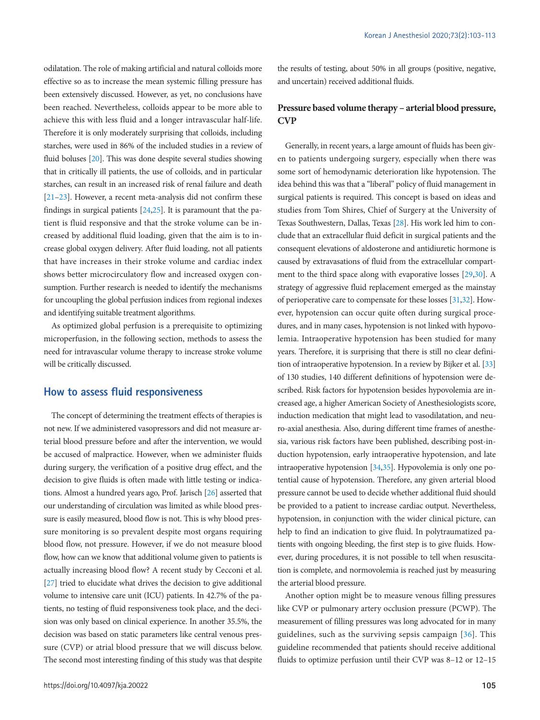odilatation. The role of making artificial and natural colloids more effective so as to increase the mean systemic filling pressure has been extensively discussed. However, as yet, no conclusions have been reached. Nevertheless, colloids appear to be more able to achieve this with less fluid and a longer intravascular half-life. Therefore it is only moderately surprising that colloids, including starches, were used in 86% of the included studies in a review of fluid boluses [\[20\]](#page-7-13). This was done despite several studies showing that in critically ill patients, the use of colloids, and in particular starches, can result in an increased risk of renal failure and death [\[21](#page-7-16)[–23](#page-7-17)]. However, a recent meta-analysis did not confirm these findings in surgical patients  $[24,25]$  $[24,25]$  $[24,25]$ . It is paramount that the patient is fluid responsive and that the stroke volume can be increased by additional fluid loading, given that the aim is to increase global oxygen delivery. After fluid loading, not all patients that have increases in their stroke volume and cardiac index shows better microcirculatory flow and increased oxygen consumption. Further research is needed to identify the mechanisms for uncoupling the global perfusion indices from regional indexes and identifying suitable treatment algorithms.

As optimized global perfusion is a prerequisite to optimizing microperfusion, in the following section, methods to assess the need for intravascular volume therapy to increase stroke volume will be critically discussed.

### **How to assess fluid responsiveness**

The concept of determining the treatment effects of therapies is not new. If we administered vasopressors and did not measure arterial blood pressure before and after the intervention, we would be accused of malpractice. However, when we administer fluids during surgery, the verification of a positive drug effect, and the decision to give fluids is often made with little testing or indications. Almost a hundred years ago, Prof. Jarisch [\[26](#page-8-1)] asserted that our understanding of circulation was limited as while blood pressure is easily measured, blood flow is not. This is why blood pressure monitoring is so prevalent despite most organs requiring blood flow, not pressure. However, if we do not measure blood flow, how can we know that additional volume given to patients is actually increasing blood flow? A recent study by Cecconi et al. [\[27](#page-8-2)] tried to elucidate what drives the decision to give additional volume to intensive care unit (ICU) patients. In 42.7% of the patients, no testing of fluid responsiveness took place, and the decision was only based on clinical experience. In another 35.5%, the decision was based on static parameters like central venous pressure (CVP) or atrial blood pressure that we will discuss below. The second most interesting finding of this study was that despite

the results of testing, about 50% in all groups (positive, negative, and uncertain) received additional fluids.

## **Pressure based volume therapy – arterial blood pressure, CVP**

Generally, in recent years, a large amount of fluids has been given to patients undergoing surgery, especially when there was some sort of hemodynamic deterioration like hypotension. The idea behind this was that a "liberal" policy of fluid management in surgical patients is required. This concept is based on ideas and studies from Tom Shires, Chief of Surgery at the University of Texas Southwestern, Dallas, Texas [\[28\]](#page-8-3). His work led him to conclude that an extracellular fluid deficit in surgical patients and the consequent elevations of aldosterone and antidiuretic hormone is caused by extravasations of fluid from the extracellular compartment to the third space along with evaporative losses [\[29](#page-8-4),[30](#page-8-5)]. A strategy of aggressive fluid replacement emerged as the mainstay of perioperative care to compensate for these losses [\[31,](#page-8-6)[32\]](#page-8-7). However, hypotension can occur quite often during surgical procedures, and in many cases, hypotension is not linked with hypovolemia. Intraoperative hypotension has been studied for many years. Therefore, it is surprising that there is still no clear definition of intraoperative hypotension. In a review by Bijker et al. [\[33\]](#page-8-8) of 130 studies, 140 different definitions of hypotension were described. Risk factors for hypotension besides hypovolemia are increased age, a higher American Society of Anesthesiologists score, induction medication that might lead to vasodilatation, and neuro-axial anesthesia. Also, during different time frames of anesthesia, various risk factors have been published, describing post-induction hypotension, early intraoperative hypotension, and late intraoperative hypotension [\[34](#page-8-9)[,35\]](#page-8-10). Hypovolemia is only one potential cause of hypotension. Therefore, any given arterial blood pressure cannot be used to decide whether additional fluid should be provided to a patient to increase cardiac output. Nevertheless, hypotension, in conjunction with the wider clinical picture, can help to find an indication to give fluid. In polytraumatized patients with ongoing bleeding, the first step is to give fluids. However, during procedures, it is not possible to tell when resuscitation is complete, and normovolemia is reached just by measuring the arterial blood pressure.

Another option might be to measure venous filling pressures like CVP or pulmonary artery occlusion pressure (PCWP). The measurement of filling pressures was long advocated for in many guidelines, such as the surviving sepsis campaign [\[36\]](#page-8-11). This guideline recommended that patients should receive additional fluids to optimize perfusion until their CVP was 8–12 or 12–15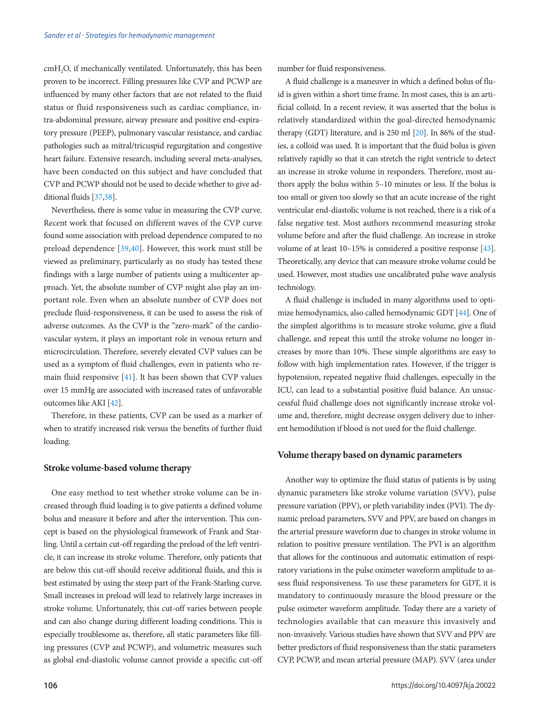cmH<sub>2</sub>O, if mechanically ventilated. Unfortunately, this has been proven to be incorrect. Filling pressures like CVP and PCWP are influenced by many other factors that are not related to the fluid status or fluid responsiveness such as cardiac compliance, intra-abdominal pressure, airway pressure and positive end-expiratory pressure (PEEP), pulmonary vascular resistance, and cardiac pathologies such as mitral/tricuspid regurgitation and congestive heart failure. Extensive research, including several meta-analyses, have been conducted on this subject and have concluded that CVP and PCWP should not be used to decide whether to give additional fluids [\[37](#page-8-12)[,38\]](#page-8-13).

Nevertheless, there is some value in measuring the CVP curve. Recent work that focused on different waves of the CVP curve found some association with preload dependence compared to no preload dependence [[39](#page-8-14)[,40\]](#page-8-15). However, this work must still be viewed as preliminary, particularly as no study has tested these findings with a large number of patients using a multicenter approach. Yet, the absolute number of CVP might also play an important role. Even when an absolute number of CVP does not preclude fluid-responsiveness, it can be used to assess the risk of adverse outcomes. As the CVP is the "zero-mark" of the cardiovascular system, it plays an important role in venous return and microcirculation. Therefore, severely elevated CVP values can be used as a symptom of fluid challenges, even in patients who remain fluid responsive [\[41](#page-8-16)]. It has been shown that CVP values over 15 mmHg are associated with increased rates of unfavorable outcomes like AKI [[42](#page-8-17)].

Therefore, in these patients, CVP can be used as a marker of when to stratify increased risk versus the benefits of further fluid loading.

#### **Stroke volume-based volume therapy**

One easy method to test whether stroke volume can be increased through fluid loading is to give patients a defined volume bolus and measure it before and after the intervention. This concept is based on the physiological framework of Frank and Starling. Until a certain cut-off regarding the preload of the left ventricle, it can increase its stroke volume. Therefore, only patients that are below this cut-off should receive additional fluids, and this is best estimated by using the steep part of the Frank-Starling curve. Small increases in preload will lead to relatively large increases in stroke volume. Unfortunately, this cut-off varies between people and can also change during different loading conditions. This is especially troublesome as, therefore, all static parameters like filling pressures (CVP and PCWP), and volumetric measures such as global end-diastolic volume cannot provide a specific cut-off number for fluid responsiveness.

A fluid challenge is a maneuver in which a defined bolus of fluid is given within a short time frame. In most cases, this is an artificial colloid. In a recent review, it was asserted that the bolus is relatively standardized within the goal-directed hemodynamic therapy (GDT) literature, and is 250 ml [20]. In 86% of the studies, a colloid was used. It is important that the fluid bolus is given relatively rapidly so that it can stretch the right ventricle to detect an increase in stroke volume in responders. Therefore, most authors apply the bolus within 5–10 minutes or less. If the bolus is too small or given too slowly so that an acute increase of the right ventricular end-diastolic volume is not reached, there is a risk of a false negative test. Most authors recommend measuring stroke volume before and after the fluid challenge. An increase in stroke volume of at least 10–15% is considered a positive response [\[43\]](#page-8-18). Theoretically, any device that can measure stroke volume could be used. However, most studies use uncalibrated pulse wave analysis technology.

A fluid challenge is included in many algorithms used to optimize hemodynamics, also called hemodynamic GDT [\[44\]](#page-8-19). One of the simplest algorithms is to measure stroke volume, give a fluid challenge, and repeat this until the stroke volume no longer increases by more than 10%. These simple algorithms are easy to follow with high implementation rates. However, if the trigger is hypotension, repeated negative fluid challenges, especially in the ICU, can lead to a substantial positive fluid balance. An unsuccessful fluid challenge does not significantly increase stroke volume and, therefore, might decrease oxygen delivery due to inherent hemodilution if blood is not used for the fluid challenge.

#### **Volume therapy based on dynamic parameters**

Another way to optimize the fluid status of patients is by using dynamic parameters like stroke volume variation (SVV), pulse pressure variation (PPV), or pleth variability index (PVI). The dynamic preload parameters, SVV and PPV, are based on changes in the arterial pressure waveform due to changes in stroke volume in relation to positive pressure ventilation. The PVI is an algorithm that allows for the continuous and automatic estimation of respiratory variations in the pulse oximeter waveform amplitude to assess fluid responsiveness. To use these parameters for GDT, it is mandatory to continuously measure the blood pressure or the pulse oximeter waveform amplitude. Today there are a variety of technologies available that can measure this invasively and non-invasively. Various studies have shown that SVV and PPV are better predictors of fluid responsiveness than the static parameters CVP, PCWP, and mean arterial pressure (MAP). SVV (area under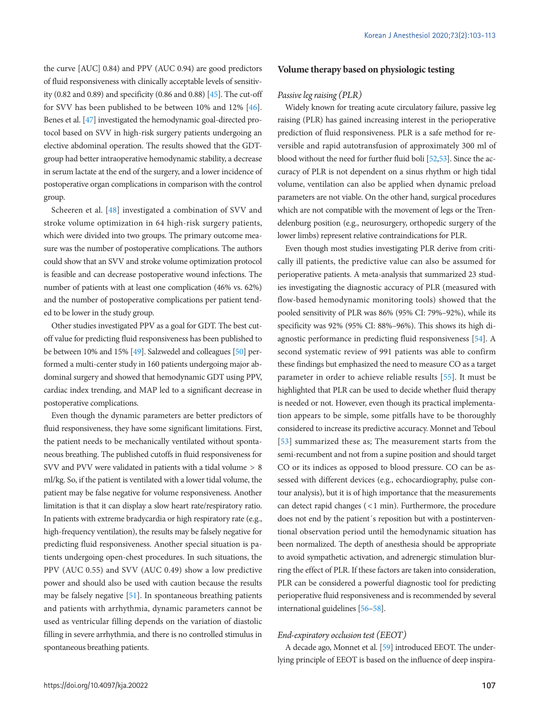the curve [AUC] 0.84) and PPV (AUC 0.94) are good predictors of fluid responsiveness with clinically acceptable levels of sensitivity (0.82 and 0.89) and specificity (0.86 and 0.88) [\[45](#page-8-20)]. The cut-off for SVV has been published to be between 10% and 12% [\[46\]](#page-8-21). Benes et al. [\[47](#page-8-22)] investigated the hemodynamic goal-directed protocol based on SVV in high-risk surgery patients undergoing an elective abdominal operation. The results showed that the GDTgroup had better intraoperative hemodynamic stability, a decrease in serum lactate at the end of the surgery, and a lower incidence of postoperative organ complications in comparison with the control group.

Scheeren et al. [\[48\]](#page-8-23) investigated a combination of SVV and stroke volume optimization in 64 high-risk surgery patients, which were divided into two groups. The primary outcome measure was the number of postoperative complications. The authors could show that an SVV and stroke volume optimization protocol is feasible and can decrease postoperative wound infections. The number of patients with at least one complication (46% vs. 62%) and the number of postoperative complications per patient tended to be lower in the study group.

Other studies investigated PPV as a goal for GDT. The best cutoff value for predicting fluid responsiveness has been published to be between 10% and 15% [\[49\]](#page-8-24). Salzwedel and colleagues [\[50\]](#page-8-25) performed a multi-center study in 160 patients undergoing major abdominal surgery and showed that hemodynamic GDT using PPV, cardiac index trending, and MAP led to a significant decrease in postoperative complications.

Even though the dynamic parameters are better predictors of fluid responsiveness, they have some significant limitations. First, the patient needs to be mechanically ventilated without spontaneous breathing. The published cutoffs in fluid responsiveness for SVV and PVV were validated in patients with a tidal volume > 8 ml/kg. So, if the patient is ventilated with a lower tidal volume, the patient may be false negative for volume responsiveness. Another limitation is that it can display a slow heart rate/respiratory ratio. In patients with extreme bradycardia or high respiratory rate (e.g., high-frequency ventilation), the results may be falsely negative for predicting fluid responsiveness. Another special situation is patients undergoing open-chest procedures. In such situations, the PPV (AUC 0.55) and SVV (AUC 0.49) show a low predictive power and should also be used with caution because the results may be falsely negative [\[51](#page-8-26)]. In spontaneous breathing patients and patients with arrhythmia, dynamic parameters cannot be used as ventricular filling depends on the variation of diastolic filling in severe arrhythmia, and there is no controlled stimulus in spontaneous breathing patients.

#### **Volume therapy based on physiologic testing**

#### *Passive leg raising (PLR)*

Widely known for treating acute circulatory failure, passive leg raising (PLR) has gained increasing interest in the perioperative prediction of fluid responsiveness. PLR is a safe method for reversible and rapid autotransfusion of approximately 300 ml of blood without the need for further fluid boli [\[52](#page-9-0)[,53](#page-8-25)]. Since the accuracy of PLR is not dependent on a sinus rhythm or high tidal volume, ventilation can also be applied when dynamic preload parameters are not viable. On the other hand, surgical procedures which are not compatible with the movement of legs or the Trendelenburg position (e.g., neurosurgery, orthopedic surgery of the lower limbs) represent relative contraindications for PLR.

Even though most studies investigating PLR derive from critically ill patients, the predictive value can also be assumed for perioperative patients. A meta-analysis that summarized 23 studies investigating the diagnostic accuracy of PLR (measured with flow-based hemodynamic monitoring tools) showed that the pooled sensitivity of PLR was 86% (95% CI: 79%–92%), while its specificity was 92% (95% CI: 88%–96%). This shows its high diagnostic performance in predicting fluid responsiveness [\[54](#page-9-1)]. A second systematic review of 991 patients was able to confirm these findings but emphasized the need to measure CO as a target parameter in order to achieve reliable results [\[55](#page-9-2)]. It must be highlighted that PLR can be used to decide whether fluid therapy is needed or not. However, even though its practical implementation appears to be simple, some pitfalls have to be thoroughly considered to increase its predictive accuracy. Monnet and Teboul [\[53\]](#page-8-25) summarized these as; The measurement starts from the semi-recumbent and not from a supine position and should target CO or its indices as opposed to blood pressure. CO can be assessed with different devices (e.g., echocardiography, pulse contour analysis), but it is of high importance that the measurements can detect rapid changes (< 1 min). Furthermore, the procedure does not end by the patient´s reposition but with a postinterventional observation period until the hemodynamic situation has been normalized. The depth of anesthesia should be appropriate to avoid sympathetic activation, and adrenergic stimulation blurring the effect of PLR. If these factors are taken into consideration, PLR can be considered a powerful diagnostic tool for predicting perioperative fluid responsiveness and is recommended by several international guidelines [\[56–](#page-9-3)[58](#page-9-4)].

#### *End-expiratory occlusion test (EEOT)*

A decade ago, Monnet et al. [59] introduced EEOT. The underlying principle of EEOT is based on the influence of deep inspira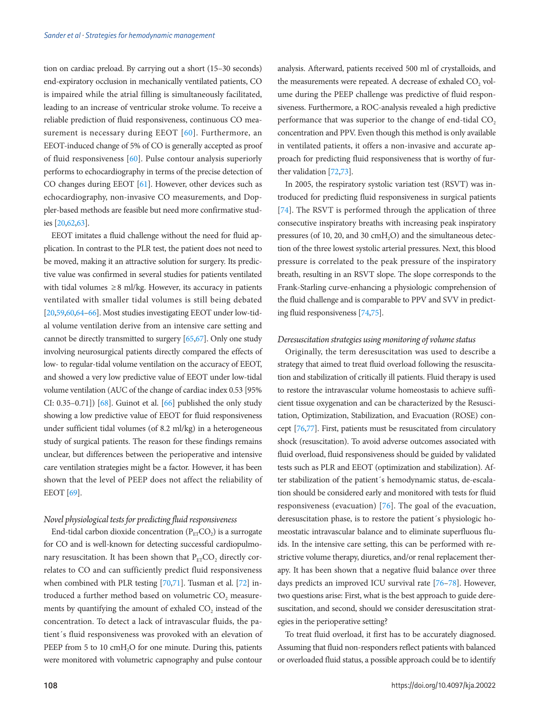tion on cardiac preload. By carrying out a short (15–30 seconds) end-expiratory occlusion in mechanically ventilated patients, CO is impaired while the atrial filling is simultaneously facilitated, leading to an increase of ventricular stroke volume. To receive a reliable prediction of fluid responsiveness, continuous CO measurement is necessary during EEOT [\[60\]](#page-9-3). Furthermore, an EEOT-induced change of 5% of CO is generally accepted as proof of fluid responsiveness [\[60](#page-9-3)]. Pulse contour analysis superiorly performs to echocardiography in terms of the precise detection of CO changes during EEOT [\[61\]](#page-9-5). However, other devices such as echocardiography, non-invasive CO measurements, and Doppler-based methods are feasible but need more confirmative studies [20,[62](#page-9-6)[,63\]](#page-9-7).

EEOT imitates a fluid challenge without the need for fluid application. In contrast to the PLR test, the patient does not need to be moved, making it an attractive solution for surgery. Its predictive value was confirmed in several studies for patients ventilated with tidal volumes  $\geq 8$  ml/kg. However, its accuracy in patients ventilated with smaller tidal volumes is still being debated [20,59,60[,64](#page-9-8)[–66](#page-9-9)]. Most studies investigating EEOT under low-tidal volume ventilation derive from an intensive care setting and cannot be directly transmitted to surgery [\[65](#page-9-10)[,67\]](#page-9-11). Only one study involving neurosurgical patients directly compared the effects of low- to regular-tidal volume ventilation on the accuracy of EEOT, and showed a very low predictive value of EEOT under low-tidal volume ventilation (AUC of the change of cardiac index 0.53 [95% CI:  $0.35-0.71$ ] [\[68\]](#page-9-12). Guinot et al. [\[66](#page-9-9)] published the only study showing a low predictive value of EEOT for fluid responsiveness under sufficient tidal volumes (of 8.2 ml/kg) in a heterogeneous study of surgical patients. The reason for these findings remains unclear, but differences between the perioperative and intensive care ventilation strategies might be a factor. However, it has been shown that the level of PEEP does not affect the reliability of EEOT [\[69](#page-9-13)].

#### *Novel physiological tests for predicting fluid responsiveness*

End-tidal carbon dioxide concentration ( $P_{ET}CO_2$ ) is a surrogate for CO and is well-known for detecting successful cardiopulmonary resuscitation. It has been shown that  $P_{ET}CO_2$  directly correlates to CO and can sufficiently predict fluid responsiveness when combined with PLR testing [\[70](#page-9-14)[,71](#page-9-15)]. Tusman et al. [\[72](#page-9-16)] introduced a further method based on volumetric CO<sub>2</sub> measurements by quantifying the amount of exhaled CO<sub>2</sub> instead of the concentration. To detect a lack of intravascular fluids, the patient´s fluid responsiveness was provoked with an elevation of PEEP from 5 to 10 cmH<sub>2</sub>O for one minute. During this, patients were monitored with volumetric capnography and pulse contour

analysis. Afterward, patients received 500 ml of crystalloids, and the measurements were repeated. A decrease of exhaled CO<sub>2</sub> volume during the PEEP challenge was predictive of fluid responsiveness. Furthermore, a ROC-analysis revealed a high predictive performance that was superior to the change of end-tidal  $CO<sub>2</sub>$ concentration and PPV. Even though this method is only available in ventilated patients, it offers a non-invasive and accurate approach for predicting fluid responsiveness that is worthy of further validation [\[72](#page-9-16)[,73\]](#page-9-17).

In 2005, the respiratory systolic variation test (RSVT) was introduced for predicting fluid responsiveness in surgical patients [\[74\]](#page-9-17). The RSVT is performed through the application of three consecutive inspiratory breaths with increasing peak inspiratory pressures (of 10, 20, and 30  $\text{cmH}_2\text{O}$ ) and the simultaneous detection of the three lowest systolic arterial pressures. Next, this blood pressure is correlated to the peak pressure of the inspiratory breath, resulting in an RSVT slope. The slope corresponds to the Frank-Starling curve-enhancing a physiologic comprehension of the fluid challenge and is comparable to PPV and SVV in predicting fluid responsiveness [\[74](#page-9-17)[,75](#page-9-18)].

#### *Deresuscitation strategies using monitoring of volume status*

Originally, the term deresuscitation was used to describe a strategy that aimed to treat fluid overload following the resuscitation and stabilization of critically ill patients. Fluid therapy is used to restore the intravascular volume homeostasis to achieve sufficient tissue oxygenation and can be characterized by the Resuscitation, Optimization, Stabilization, and Evacuation (ROSE) concept [\[76](#page-9-19)[,77\]](#page-10-0). First, patients must be resuscitated from circulatory shock (resuscitation). To avoid adverse outcomes associated with fluid overload, fluid responsiveness should be guided by validated tests such as PLR and EEOT (optimization and stabilization). After stabilization of the patient´s hemodynamic status, de-escalation should be considered early and monitored with tests for fluid responsiveness (evacuation) [\[76](#page-9-19)]. The goal of the evacuation, deresuscitation phase, is to restore the patient´s physiologic homeostatic intravascular balance and to eliminate superfluous fluids. In the intensive care setting, this can be performed with restrictive volume therapy, diuretics, and/or renal replacement therapy. It has been shown that a negative fluid balance over three days predicts an improved ICU survival rate [76–[78\]](#page-10-1). However, two questions arise: First, what is the best approach to guide deresuscitation, and second, should we consider deresuscitation strategies in the perioperative setting?

To treat fluid overload, it first has to be accurately diagnosed. Assuming that fluid non-responders reflect patients with balanced or overloaded fluid status, a possible approach could be to identify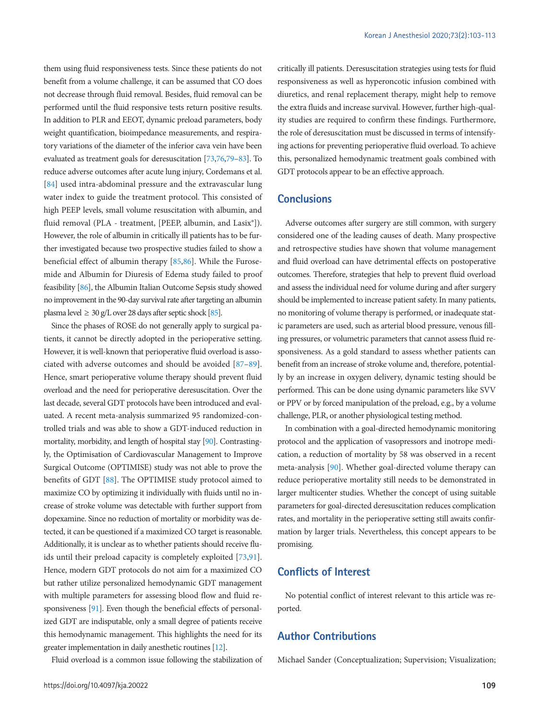them using fluid responsiveness tests. Since these patients do not benefit from a volume challenge, it can be assumed that CO does not decrease through fluid removal. Besides, fluid removal can be performed until the fluid responsive tests return positive results. In addition to PLR and EEOT, dynamic preload parameters, body weight quantification, bioimpedance measurements, and respiratory variations of the diameter of the inferior cava vein have been evaluated as treatment goals for deresuscitation [73,7[6,79](#page-10-2)[–83\]](#page-10-3). To reduce adverse outcomes after acute lung injury, Cordemans et al. [\[84\]](#page-10-4) used intra-abdominal pressure and the extravascular lung water index to guide the treatment protocol. This consisted of high PEEP levels, small volume resuscitation with albumin, and fluid removal (PLA - treatment, [PEEP, albumin, and Lasix®]). However, the role of albumin in critically ill patients has to be further investigated because two prospective studies failed to show a beneficial effect of albumin therapy [\[85](#page-10-3)[,86](#page-10-5)]. While the Furosemide and Albumin for Diuresis of Edema study failed to proof feasibility [\[86](#page-10-5)], the Albumin Italian Outcome Sepsis study showed no improvement in the 90-day survival rate after targeting an albumin plasma level  $\geq 30$  g/L over 28 days after septic shock [\[85](#page-10-3)].

Since the phases of ROSE do not generally apply to surgical patients, it cannot be directly adopted in the perioperative setting. However, it is well-known that perioperative fluid overload is associated with adverse outcomes and should be avoided [\[87](#page-10-6)[–89\]](#page-10-7). Hence, smart perioperative volume therapy should prevent fluid overload and the need for perioperative deresuscitation. Over the last decade, several GDT protocols have been introduced and evaluated. A recent meta-analysis summarized 95 randomized-controlled trials and was able to show a GDT-induced reduction in mortality, morbidity, and length of hospital stay [\[90](#page-10-8)]. Contrastingly, the Optimisation of Cardiovascular Management to Improve Surgical Outcome (OPTIMISE) study was not able to prove the benefits of GDT [\[88\]](#page-10-9). The OPTIMISE study protocol aimed to maximize CO by optimizing it individually with fluids until no increase of stroke volume was detectable with further support from dopexamine. Since no reduction of mortality or morbidity was detected, it can be questioned if a maximized CO target is reasonable. Additionally, it is unclear as to whether patients should receive fluids until their preload capacity is completely exploited [73,[91\]](#page-10-10). Hence, modern GDT protocols do not aim for a maximized CO but rather utilize personalized hemodynamic GDT management with multiple parameters for assessing blood flow and fluid responsiveness [\[91](#page-10-10)]. Even though the beneficial effects of personalized GDT are indisputable, only a small degree of patients receive this hemodynamic management. This highlights the need for its greater implementation in daily anesthetic routines [12].

Fluid overload is a common issue following the stabilization of

critically ill patients. Deresuscitation strategies using tests for fluid responsiveness as well as hyperoncotic infusion combined with diuretics, and renal replacement therapy, might help to remove the extra fluids and increase survival. However, further high-quality studies are required to confirm these findings. Furthermore, the role of deresuscitation must be discussed in terms of intensifying actions for preventing perioperative fluid overload. To achieve this, personalized hemodynamic treatment goals combined with GDT protocols appear to be an effective approach.

### **Conclusions**

Adverse outcomes after surgery are still common, with surgery considered one of the leading causes of death. Many prospective and retrospective studies have shown that volume management and fluid overload can have detrimental effects on postoperative outcomes. Therefore, strategies that help to prevent fluid overload and assess the individual need for volume during and after surgery should be implemented to increase patient safety. In many patients, no monitoring of volume therapy is performed, or inadequate static parameters are used, such as arterial blood pressure, venous filling pressures, or volumetric parameters that cannot assess fluid responsiveness. As a gold standard to assess whether patients can benefit from an increase of stroke volume and, therefore, potentially by an increase in oxygen delivery, dynamic testing should be performed. This can be done using dynamic parameters like SVV or PPV or by forced manipulation of the preload, e.g., by a volume challenge, PLR, or another physiological testing method.

In combination with a goal-directed hemodynamic monitoring protocol and the application of vasopressors and inotrope medication, a reduction of mortality by 58 was observed in a recent meta-analysis [\[90](#page-10-9)]. Whether goal-directed volume therapy can reduce perioperative mortality still needs to be demonstrated in larger multicenter studies. Whether the concept of using suitable parameters for goal-directed deresuscitation reduces complication rates, and mortality in the perioperative setting still awaits confirmation by larger trials. Nevertheless, this concept appears to be promising.

# **Conflicts of Interest**

No potential conflict of interest relevant to this article was reported.

### **Author Contributions**

Michael Sander (Conceptualization; Supervision; Visualization;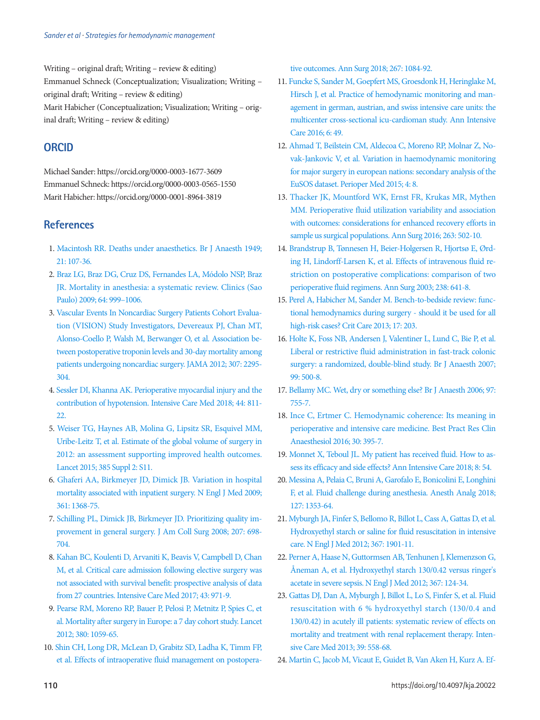Writing – original draft; Writing – review & editing) Emmanuel Schneck (Conceptualization; Visualization; Writing – original draft; Writing – review & editing)

Marit Habicher (Conceptualization; Visualization; Writing – original draft; Writing – review & editing)

# **ORCID**

Michael Sander: https://orcid.org/0000-0003-1677-3609 Emmanuel Schneck: https://orcid.org/0000-0003-0565-1550 Marit Habicher: https://orcid.org/0000-0001-8964-3819

# <span id="page-7-0"></span>**References**

- 1. [Macintosh RR. Deaths under anaesthetics. Br J Anaesth 1949;](https://doi.org/10.1093/bja/21.3.107)  [21: 107-36.](https://doi.org/10.1093/bja/21.3.107)
- <span id="page-7-1"></span>2. [Braz LG, Braz DG, Cruz DS, Fernandes LA, Módolo NSP, Braz](http://dx.doi.org/10.1590/S1807-59322009001000011)  [JR. Mortality in anesthesia: a systematic review. Clinics \(Sao](http://dx.doi.org/10.1590/S1807-59322009001000011)  [Paulo\) 2009; 64: 999–1006.](http://dx.doi.org/10.1590/S1807-59322009001000011)
- <span id="page-7-2"></span>3. [Vascular Events In Noncardiac Surgery Patients Cohort Evalua](https://doi.org/10.1001/jama.2012.5502)[tion \(VISION\) Study Investigators, Devereaux PJ, Chan MT,](https://doi.org/10.1001/jama.2012.5502)  [Alonso-Coello P, Walsh M, Berwanger O, et al. Association be](https://doi.org/10.1001/jama.2012.5502)[tween postoperative troponin levels and 30-day](https://doi.org/10.1001/jama.2012.5502) mortality among patients undergoing noncardiac surgery. JAMA 2012; 307: 2295- 304.
- <span id="page-7-3"></span>[4. Sessler DI, Khanna AK. Perioperative myocardial injury and the](https://doi.org/10.1007/s00134-018-5224-7)  [contribution of hypotension. Intensive Care Med 2018; 44: 811-](https://doi.org/10.1007/s00134-018-5224-7) [22.](https://doi.org/10.1007/s00134-018-5224-7)
- <span id="page-7-4"></span>[5. Weiser TG, Haynes AB, Molina G, Lipsitz SR, Esquivel MM,](https://doi.org/10.1016/S0140-6736(15)60806-6)  [Uribe-Leitz T, et al. Estimate of the global volume of surgery in](https://doi.org/10.1016/S0140-6736(15)60806-6)  [2012: an assessment supporting improved health outcomes.](https://doi.org/10.1016/S0140-6736(15)60806-6)  [Lancet 2015; 385 Suppl 2: S11](https://doi.org/10.1016/S0140-6736(15)60806-6).
- <span id="page-7-5"></span>[6. Ghaferi AA, Birkmeyer JD, Dimick JB. Variation in hospital](https://doi.org/10.1056/NEJMsa0903048)  [mortality associated with inpatient surgery. N Engl J Med 2009;](https://doi.org/10.1056/NEJMsa0903048)  [361: 1368-75.](https://doi.org/10.1056/NEJMsa0903048)
- <span id="page-7-8"></span>[7. Schilling PL, Dimick JB, Birkmeyer JD. Prioritizing quality im](https://doi.org/10.1016/j.jamcollsurg.2008.06.138)[provement in general surgery. J Am Coll Surg 2008; 207: 698-](https://doi.org/10.1016/j.jamcollsurg.2008.06.138) [704](https://doi.org/10.1016/j.jamcollsurg.2008.06.138).
- <span id="page-7-6"></span>[8. Kahan BC, Koulenti D, Arvaniti K, Beavis V, Campbell D, Chan](https://doi.org/10.1007/s00134-016-4633-8)  [M, et al. Critical care admission following elective surgery was](https://doi.org/10.1007/s00134-016-4633-8)  [not associated with survival benefit: prospective analysis of data](https://doi.org/10.1007/s00134-016-4633-8)  [from 27 countries. Intensive Care Med 2017; 43](https://doi.org/10.1007/s00134-016-4633-8): 971-9.
- <span id="page-7-7"></span>9. Pearse RM, Mo[reno RP, Bauer P, Pelosi P, Metnitz P, Spies C, et](https://doi.org/10.1016/S0140-6736(12)61148-9)  [al. Mortality after surgery in Europe: a 7 day cohort study. Lancet](https://doi.org/10.1016/S0140-6736(12)61148-9)  [2012; 380: 1059-65.](https://doi.org/10.1016/S0140-6736(12)61148-9)
- <span id="page-7-10"></span>10. Shin CH, Long DR, McLean [D, Grabitz SD, Ladha K, Timm FP,](https://doi.org/10.1097/SLA.0000000000002220)  [et al. Effects of intraoperative fluid management on postopera-](https://doi.org/10.1097/SLA.0000000000002220)

[tive outcomes. Ann Surg 2018; 267: 1084-92.](https://doi.org/10.1097/SLA.0000000000002220)

- <span id="page-7-9"></span>11[. Funcke S, Sander M, Goepfert MS, Groesdonk H, Heringlake M,](https://doi.org/10.1186/s13613-016-0148-2)  [Hirsch J, et al. Practice of hemodynamic monitoring and man](https://doi.org/10.1186/s13613-016-0148-2)[agement in german, austrian, and swiss intensive care units: the](https://doi.org/10.1186/s13613-016-0148-2)  [multicenter cross-sectional icu-cardioman](https://doi.org/10.1186/s13613-016-0148-2) study. Ann Intensive Care 2016; 6: 49.
- 12. [Ahmad T, Beilstein CM, Aldecoa C, Moreno RP, Molnar Z, No](https://doi.org/10.1186/s13741-015-0018-8)[vak-Jankovic V, et al. Variation in haemodynamic monitoring](https://doi.org/10.1186/s13741-015-0018-8)  [for major surgery in european nations: secondary analysis of the](https://doi.org/10.1186/s13741-015-0018-8)  [EuSOS dataset. Perioper Med 2015; 4: 8.](https://doi.org/10.1186/s13741-015-0018-8)
- 13. Thacker JK, Mountford WK, Ernst FR, Krukas MR, Mythen M[M. Perioperative fluid utilization variability and association](https://doi.org/10.1097/SLA.0000000000001402)  [with outcomes: considerations for enhanced recovery efforts in](https://doi.org/10.1097/SLA.0000000000001402)  [sample us surgical populations. Ann Surg 2016;](https://doi.org/10.1097/SLA.0000000000001402) 263: 502-10.
- <span id="page-7-11"></span>14. [Brandstrup B, Tønnesen H, Beier-Holgersen R, Hjortsø E, Ørd](https://doi.org/10.1097/01.sla.0000094387.50865.23)[ing H, Lindorff-Larsen K, et al. Effects of intravenous fluid re](https://doi.org/10.1097/01.sla.0000094387.50865.23)[striction on postoperative complications: comparison of two](https://doi.org/10.1097/01.sla.0000094387.50865.23)  [perioperative fluid regimens. Ann Surg 2003; 238:](https://doi.org/10.1097/01.sla.0000094387.50865.23) 641-8.
- <span id="page-7-12"></span>15. [Perel A, Habicher M, Sander M. Bench-to-bedside review: func](https://doi.org/10.1186/cc11448)[tional hemodynamics during surgery - should it be used for all](https://doi.org/10.1186/cc11448)  [high-risk cases? Crit Care 2013; 17: 203.](https://doi.org/10.1186/cc11448)
- <span id="page-7-13"></span>16. Holte K, Foss NB, Andersen J, Valentiner L, Lund C, Bie [P, et al.](https://doi.org/10.1093/bja/aem211)  [Liberal or restrictive fluid administration in fast-track colonic](https://doi.org/10.1093/bja/aem211)  [surgery: a randomized, double-blind study. Br J Anaesth 2007;](https://doi.org/10.1093/bja/aem211)  [99: 500-8.](https://doi.org/10.1093/bja/aem211)
- <span id="page-7-15"></span>17[. Bellamy MC. Wet, dry or something else? Br J Anaesth 2006; 97:](https://doi.org/10.1093/bja/ael290)  [755-7.](https://doi.org/10.1093/bja/ael290)
- <span id="page-7-14"></span>1[8. Ince C, Ertmer C. Hemodynamic coherence: Its meaning in](https://doi.org/10.1016/j.bpa.2016.11.004)  [perioperative and intensive care medicine. Best Pract Res Clin](https://doi.org/10.1016/j.bpa.2016.11.004)  [Anaesthesiol 2016; 30: 395-7.](https://doi.org/10.1016/j.bpa.2016.11.004)
- 19[.](https://doi.org/10.1186/s13613-018-0400-z) Monnet X, Teboul JL. My patient has received fluid. How to assess its efficacy and side effects? Ann Intensive Care 2018; 8: 54.
- 20. [Messina A, Pelaia C, Bruni A, Garofalo E, Bonicolini E, Longhini](https://doi.org/10.1213/ANE.0000000000003834)  [F, et al. Fluid challenge during anesthesia. Anesth Analg 2018;](https://doi.org/10.1213/ANE.0000000000003834)  [127: 1353-64.](https://doi.org/10.1213/ANE.0000000000003834)
- <span id="page-7-16"></span>21[. Myburgh JA, Finfer S, Bellomo R, Billot L, Cass A, Gattas D, et al.](https://doi.org/10.1056/NEJMoa1209759)  [Hydroxyethyl starch or saline for fluid resuscitation in intensive](https://doi.org/10.1056/NEJMoa1209759)  [care. N Engl J Med 2012; 367: 1901-11](https://doi.org/10.1056/NEJMoa1209759).
- 22[. Perner A, Haase N, Guttormsen AB, Tenhunen J, Klemenzson G,](https://doi.org/10.1056/NEJMoa1204242)  [Åneman A, et al. Hydroxyethyl starch 130/0.42 versus ringer's](https://doi.org/10.1056/NEJMoa1204242)  [acetate in severe sepsis. N Engl J Med 2012; 367: 124-34.](https://doi.org/10.1056/NEJMoa1204242)
- <span id="page-7-17"></span>23[. Gattas DJ, Dan A, Myburgh J, Billot L, Lo S, Finfer S, et al. Fluid](https://doi.org/10.1007/s00134-013-2840-0)  [resuscitation with 6 % hydroxyethyl starch \(130/0.4 and](https://doi.org/10.1007/s00134-013-2840-0)  [130/0.42\) in acutely ill patients: systematic review of effects on](https://doi.org/10.1007/s00134-013-2840-0)  [mortality and treatment with renal replacement therap](https://doi.org/10.1007/s00134-013-2840-0)y. Intensive Care Med 2013; 39: 558-68.
- <span id="page-7-18"></span>24[. Martin C, Jacob M, Vicaut E, Guidet B, Van Aken H, Kurz A. Ef-](https://doi.org/10.1097/ALN.0b013e31827e5569)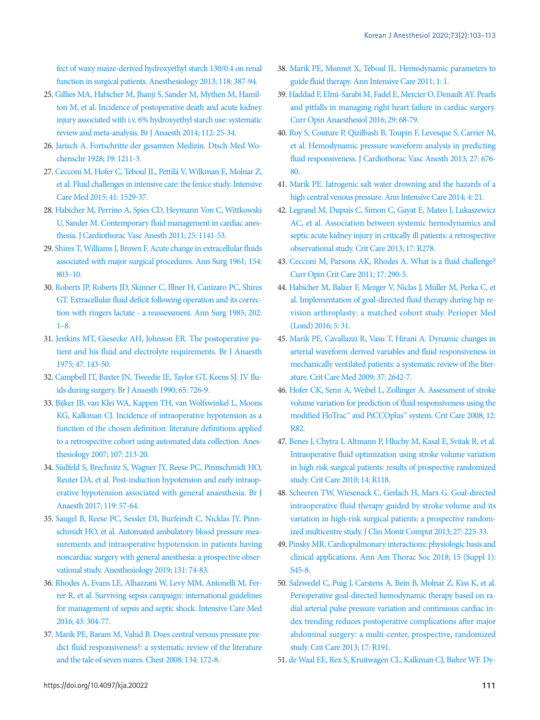[fect of waxy maize-derived hydroxyethyl starch 130/0.4 on renal](https://doi.org/10.1097/ALN.0b013e31827e5569)  [function in surgical patients. Anesthesiology 2013; 118: 387-94](https://doi.org/10.1097/ALN.0b013e31827e5569).

- <span id="page-8-0"></span>2[5. Gillies MA, Habicher M, Jhanji S, Sander M, Mythen M, Hamil](https://doi.org/10.1093/bja/aet303)[ton M, et al. Incidence of postoperative death and acute kidney](https://doi.org/10.1093/bja/aet303)  [injury associated with i.v. 6% hydroxyethyl starch use: systematic](https://doi.org/10.1093/bja/aet303)  [review and meta-analysis. Br J Anaesth 2014](https://doi.org/10.1093/bja/aet303); 112: 25-34.
- <span id="page-8-1"></span>2[6. Jarisch A. Fortschritte der gesamten Medizin. Dtsch Med Wo](https://doi.org/10.1055/s-0028-1165452)[chenschr 1928; 19: 1211-3.](https://doi.org/10.1055/s-0028-1165452)
- <span id="page-8-2"></span>2[7. Cecconi M, Hofer C, Teboul JL, Pettilä V, Wilkman E, Molnar Z,](https://doi.org/10.1007/s00134-015-3850-x)  [et al. Fluid challenges in intensive care: the fenice study. Intensive](https://doi.org/10.1007/s00134-015-3850-x)  [Care Med 2015; 41: 1529-37](https://doi.org/10.1007/s00134-015-3850-x).
- <span id="page-8-3"></span>2[8. Habicher M, Perrino A, Spies CD, Heymann Von C, Wittkowski](https://doi.org/10.1053/j.jvca.2010.07.020)  [U, Sander M. Contemporary fluid management in cardiac anes](https://doi.org/10.1053/j.jvca.2010.07.020)[thesia. J Cardiothorac Vasc Anesth 2011; 25: 1141-53.](https://doi.org/10.1053/j.jvca.2010.07.020)
- <span id="page-8-4"></span>2[9. Shires T, Williams J, Brown F. Acute change in extracellular fluids](https://doi.org/10.1097/00000658-196111000-00005)  [associated with major surgical procedures. A](https://doi.org/10.1097/00000658-196111000-00005)nn Surg 1961; 154: 803–10.
- <span id="page-8-5"></span>3[0. Roberts JP, Roberts JD, Skinner C, Illner H, Canizaro PC, Shires](https://doi.org/10.1097/00000658-198507000-00001)  [GT. Extracellular fluid deficit following operation and its correc](https://doi.org/10.1097/00000658-198507000-00001)[tion with ringers lactate - a reassessment.](https://doi.org/10.1097/00000658-198507000-00001) Ann Surg 1985; 202: 1–8.
- <span id="page-8-6"></span>3[1. Jenkins MT, Giesecke AH, Johnson ER. The postoperative pa](https://doi.org/10.1093/bja/47.2.143)[tient and his fluid and electrolyte requirements. Br J Anaesth](https://doi.org/10.1093/bja/47.2.143)  [1975; 47: 143-50.](https://doi.org/10.1093/bja/47.2.143)
- <span id="page-8-7"></span>3[2. Campbell IT, Baxter JN, Tweedie IE, Taylor GT, Keens SJ. IV flu](https://doi.org/10.1093/bja/65.5.726)[ids during surgery. Br J Anaesth 1990; 65: 726-9](https://doi.org/10.1093/bja/65.5.726).
- <span id="page-8-8"></span>3[3. Bijker JB, van Klei WA, Kappen TH, van Wolfswinkel L, Moons](https://doi.org/10.1097/01.anes.0000270724.40897.8e)  [KG, Kalkman CJ. Incidence of intraoperative hypotension as a](https://doi.org/10.1097/01.anes.0000270724.40897.8e)  [function of the chosen definition: literature definitions applied](https://doi.org/10.1097/01.anes.0000270724.40897.8e)  [to a retrospective cohort using automated dat](https://doi.org/10.1097/01.anes.0000270724.40897.8e)a collection. Anesthesiology 2007; 107: 213-20.
- <span id="page-8-9"></span>3[4. Südfeld S, Brechnitz S, Wagner JY, Reese PC, Pinnschmidt HO,](https://doi.org/10.1093/bja/aex127)  [Reuter DA, et al. Post-induction hypotension and early intraop](https://doi.org/10.1093/bja/aex127)[erative hypotension associated with general anaesthesia. Br J](https://doi.org/10.1093/bja/aex127)  [Anaesth 2017; 119: 57-64](https://doi.org/10.1093/bja/aex127).
- <span id="page-8-10"></span>3[5. Saugel B, Reese PC, Sessler DI, Burfeindt C, Nicklas JY, Pinn](https://doi.org/10.1097/ALN.0000000000002703)[schmidt HO, et al. Automated ambulatory blood pressure mea](https://doi.org/10.1097/ALN.0000000000002703)[surements and intraoperative hypotension in patients having](https://doi.org/10.1097/ALN.0000000000002703)  [noncardiac surgery with general anesthesia:](https://doi.org/10.1097/ALN.0000000000002703) a prospective observational study. Anesthesiology 2019; 131: 74-83.
- <span id="page-8-11"></span>3[6. Rhodes A, Evans LE, Alhazzani W, Levy MM, Antonelli M, Fer](https://doi.org/10.1097/CCM.0000000000002255)[rer R, et al. Surviving sepsis campaign: international guidelines](https://doi.org/10.1097/CCM.0000000000002255)  [for management of sepsis and septic shock. Intensive Care Med](https://doi.org/10.1097/CCM.0000000000002255)  [2016; 43: 304-77.](https://doi.org/10.1097/CCM.0000000000002255)
- <span id="page-8-12"></span>3[7. Marik PE, Baram M, Vahid B. Does central venous pressure pre](https://doi.org/10.1378/chest.07-2331)[dict fluid responsiveness?: a systematic review of the literature](https://doi.org/10.1378/chest.07-2331)  [and the tale of seven mares. Chest 2008; 134: 172-8](https://doi.org/10.1378/chest.07-2331).
- <span id="page-8-13"></span>3[8. Marik PE, Monnet X, Teboul JL. Hemodynamic parameters to](https://doi.org/10.1186/2110-5820-1-1)  [guide fluid therapy.](https://doi.org/10.1186/2110-5820-1-1) [Ann Intensive Care 2011; 1: 1.](https://annalsofintensivecare.springeropen.com/articles/10.1186/2110-5820-1-1)
- <span id="page-8-14"></span>39[. Haddad F, Elmi-Sarabi M, Fadel E, Mercier O, Denault AY. Pearls](https://doi.org/10.1097/ACO.0000000000000284)  [and pitfalls in managing right heart failure in cardiac surgery.](https://doi.org/10.1097/ACO.0000000000000284)  [Curr Opin Anaesthesiol 2016; 29: 68-79](https://doi.org/10.1097/ACO.0000000000000284).
- <span id="page-8-15"></span>40[. Roy S, Couture P, Qizilbash B, Toupin F, Levesque S, Carrier M,](https://doi.org/10.1053/j.jvca.2012.11.002)  [et al. Hemodynamic pressure waveform analysis in predicting](https://doi.org/10.1053/j.jvca.2012.11.002)  [fluid responsiveness. J Cardiothorac Vasc Anesth 2013; 27: 676-](https://doi.org/10.1053/j.jvca.2012.11.002) [80.](https://doi.org/10.1053/j.jvca.2012.11.002)
- <span id="page-8-16"></span>4[1. Marik PE. Iatrogenic salt water drowning and the hazards of a](https://doi.org/10.1186/s13613-014-0021-0)  [high central venous pressure.](https://doi.org/10.1186/s13613-014-0021-0) Ann Intensive Care 2014; 4: 21.
- <span id="page-8-17"></span>42[. Legrand M, Dupuis C, Simon C, Gayat E, Mateo J, Lukaszewicz](https://doi.org/10.1186/cc13133)  [AC, et al. Association between systemic hemodynamics and](https://doi.org/10.1186/cc13133)  [septic acute kidney injury in critically ill patients: a retrospective](https://doi.org/10.1186/cc13133)  [observational study. Crit Care 2013; 17: R278](https://doi.org/10.1186/cc13133).
- <span id="page-8-18"></span>4[3. Cecconi M, Parsons AK, Rhodes A. What is a fluid challenge?](https://doi.org/10.1097/MCC.0b013e32834699cd)  [Curr Opin Crit Care 2011; 17: 290-5.](https://doi.org/10.1097/MCC.0b013e32834699cd)
- <span id="page-8-19"></span>44. [Habicher M, Balzer F, Mezger V, Niclas J, Müller M, Perka C, et](https://doi.org/10.1186/s13741-016-0056-x)  [al. Implementation of goal-directed fluid therapy during hip re](https://doi.org/10.1186/s13741-016-0056-x)[vision arthroplasty: a matched cohort study.](https://doi.org/10.1186/s13741-016-0056-x) Perioper Med (Lond) 2016; 5: 31.
- <span id="page-8-20"></span>45. [Marik PE, Cavallazzi R, Vasu T, Hirani A. Dynamic changes in](https://doi.org/10.1097/CCM.0b013e3181a590da)  [arterial waveform derived variables and fluid responsiveness in](https://doi.org/10.1097/CCM.0b013e3181a590da)  [mechanically ventilated patients: a systematic review of the liter](https://doi.org/10.1097/CCM.0b013e3181a590da)[ature. Crit Care Med 2009; 37: 2642-7.](https://doi.org/10.1097/CCM.0b013e3181a590da)
- <span id="page-8-21"></span>46. [Hofer CK, Senn A, Weibel L, Zollinger A. Assessment of stroke](https://doi.org/10.1186/cc6933)  [volume variation for prediction of fluid responsiveness using the](https://doi.org/10.1186/cc6933)  [modified FloTrac™ and PiCCOplus™ system. Crit Care 2008; 12:](https://doi.org/10.1186/cc6933)  [R82.](https://doi.org/10.1186/cc6933)
- <span id="page-8-22"></span>47. [Benes J, Chytra I, Altmann P, Hluchy M, Kasal E, Svitak R, et al.](https://doi.org/10.1186/cc9070)  [Intraoperative fluid optimization using stroke volume variation](https://doi.org/10.1186/cc9070)  [in high risk surgical patients: results of prospective randomized](https://doi.org/10.1186/cc9070)  [study. Crit Care 2010; 14: R118.](https://doi.org/10.1186/cc9070)
- <span id="page-8-23"></span>48[. Scheeren TW, Wiesenack C, Gerlach H, Marx G. Goal-directed](https://doi.org/10.1007/s10877-013-9461-6)  [intraoperative fluid therapy guided by stroke volume and its](https://doi.org/10.1007/s10877-013-9461-6)  [variation in high-risk surgical patients: a prospective random](https://doi.org/10.1007/s10877-013-9461-6)[ized multicentre study. J Clin Monit Comput 2013; 27:](https://doi.org/10.1007/s10877-013-9461-6) 225-33.
- <span id="page-8-24"></span>49[. Pinsky MR. Cardiopulmonary interactions: physiologic basis and](https://doi.org/10.1513/AnnalsATS.201704-339FR)  [clinical applications. Ann Am Thorac Soc 2018; 15 \(Suppl 1\):](https://doi.org/10.1513/AnnalsATS.201704-339FR)  [S45-8](https://doi.org/10.1513/AnnalsATS.201704-339FR).
- <span id="page-8-25"></span>50. Salzwedel C, Puig J, Carstens A, Bein B[, Molnar Z, Kiss K, et al.](https://doi.org/10.1186/cc12885)  [Perioperative goal-directed hemodynamic therapy based on ra](https://doi.org/10.1186/cc12885)[dial arterial pulse pressure variation and continuous cardiac in](https://doi.org/10.1186/cc12885)[dex trending reduces postoperative complications](https://doi.org/10.1186/cc12885) after major abdominal surgery: a multi-center, prospective, randomized study. Crit Care 2013; 17: R191.
- <span id="page-8-26"></span>51[. de Waal EE, Rex S, Kruitwagen CL, Kalkman CJ, Buhre WF. Dy-](https://doi.org/10.1097/CCM.0b013e3181958bf7)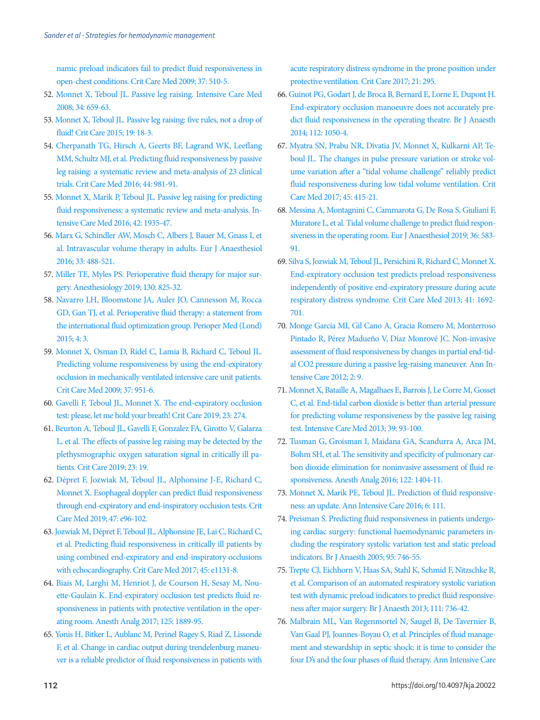[namic preload indicators fail to predict fluid responsiveness in](https://doi.org/10.1097/CCM.0b013e3181958bf7)  [open-chest conditions. Crit Care Med 2009; 37: 510-5.](https://doi.org/10.1097/CCM.0b013e3181958bf7)

- <span id="page-9-0"></span>5[2. Monnet X, Teboul JL. Passive leg raising. Intensive Care Med](https://doi.org/10.1007/s00134-008-0994-y)  [2008; 34: 659-63.](https://doi.org/10.1007/s00134-008-0994-y)
- 53. Monnet X, Teboul JL[. Passive leg raising: five rules, not a drop of](https://doi.org/10.1186/s13054-014-0708-5)  [fluid! Crit Care 2015; 19: 18-3.](https://doi.org/10.1186/s13054-014-0708-5)
- <span id="page-9-1"></span>5[4. Cherpanath TG, Hirsch A, Geerts BF, Lagrand WK, Leeflang](https://doi.org/10.1097/CCM.0000000000001556)  [MM, Schultz MJ, et al. Predicting fluid responsiveness by passive](https://doi.org/10.1097/CCM.0000000000001556)  [leg raising: a systematic review and meta-analysis of 23 clinical](https://doi.org/10.1097/CCM.0000000000001556)  [trials. Crit Care Med 2016; 44: 981-91](https://doi.org/10.1097/CCM.0000000000001556).
- <span id="page-9-2"></span>55. Monnet X, Marik P, Teboul JL[. Passive leg raising for predicting](https://doi.org/10.1007/s00134-015-4134-1)  [fluid responsiveness: a systematic review and meta-analysis. In](https://doi.org/10.1007/s00134-015-4134-1)[tensive Care Med 2016; 42: 1935-47.](https://doi.org/10.1007/s00134-015-4134-1)
- <span id="page-9-3"></span>56. Marx G, Schindler A[W, Mosch C, Albers J, Bauer M, Gnass I, et](https://doi.org/10.1097/EJA.0000000000000447)  [al. Intravascular volume therapy in adults. Eur J Anaesthesiol](https://doi.org/10.1097/EJA.0000000000000447)  [2016; 33: 488-521.](https://doi.org/10.1097/EJA.0000000000000447)
- 57. [Miller TE, Myles PS. Perioperative fluid therapy for major sur](https://doi.org/10.1097/ALN.0000000000002603)[gery. Anesthesiology 2019; 130: 825-32.](https://doi.org/10.1097/ALN.0000000000002603)
- <span id="page-9-4"></span>5[8. Navarro LH, Bloomstone JA, Auler JO, Cannesson M, Rocca](https://doi.org/10.1186/s13741-015-0014-z)  [GD, Gan TJ, et al. Perioperative fluid therapy: a statement from](https://doi.org/10.1186/s13741-015-0014-z)  [the international fluid optimization group. Perioper Med \(Lond\)](https://doi.org/10.1186/s13741-015-0014-z)  [2015; 4: 3.](https://doi.org/10.1186/s13741-015-0014-z)
- 59. Monnet X, Osman D, Ridel C, Lamia B, Richard C, Teboul JL. [Predicting volume responsiveness by using the end-expiratory](https://doi.org/10.1097/CCM.0b013e3181968fe1)  [occlusion in mechanically ventilated intensive care unit patients.](https://doi.org/10.1097/CCM.0b013e3181968fe1)  [Crit Care Med 2009; 37: 951-6.](https://doi.org/10.1097/CCM.0b013e3181968fe1)
- 60. Gavelli F, Teboul JL, Monnet X[. The end-expiratory occlusion](https://doi.org/10.1186/s13054-019-2554-y)  [test: please, let me hold your breath! Crit Care 2019; 23: 274.](https://doi.org/10.1186/s13054-019-2554-y)
- <span id="page-9-5"></span>6[1. Beurton A, Teboul JL, Gavelli F, Gonzalez FA, Girotto V, Galarza](https://doi.org/10.1186/s13054-019-2306-z)  [L, et al. The effects of passive leg raising may be detected by the](https://doi.org/10.1186/s13054-019-2306-z)  [plethysmographic oxygen saturation signal in critically ill pa](https://doi.org/10.1186/s13054-019-2306-z)[tients. Crit Care 2019; 23: 19.](https://doi.org/10.1186/s13054-019-2306-z)
- <span id="page-9-6"></span>6[2. Dépret F, Jozwiak M, Teboul JL, Alphonsine J-E, Richard C,](https://doi.org/10.1097/CCM.0000000000003522)  [Monnet X. Esophageal doppler can predict fluid responsiveness](https://doi.org/10.1097/CCM.0000000000003522)  [through end-expiratory and end-inspiratory occlusion tests. Crit](https://doi.org/10.1097/CCM.0000000000003522)  [Care Med 2019; 47: e96-102.](https://doi.org/10.1097/CCM.0000000000003522)
- <span id="page-9-7"></span>6[3. Jozwiak M, Dépret F, Teboul JL, Alphonsine JE, Lai C, Richard C,](https://doi.org/10.1097/CCM.0000000000002704)  [et al. Predicting fluid responsiveness in critically ill patients by](https://doi.org/10.1097/CCM.0000000000002704)  [using combined end-expiratory and end-inspiratory occlusions](https://doi.org/10.1097/CCM.0000000000002704)  [with echocardiography. Crit Care Med 2017; 45](https://doi.org/10.1097/CCM.0000000000002704): e1131-8.
- <span id="page-9-8"></span>6[4. Biais M, Larghi M, Henriot J, de Courson H, Sesay M, Nou](https://doi.org/10.1213/ANE.0000000000002322)[ette-Gaulain K. End-expiratory occlusion test predicts fluid re](https://doi.org/10.1213/ANE.0000000000002322)[sponsiveness in patients with protective ventilation in the oper](https://doi.org/10.1213/ANE.0000000000002322)[ating room. Anesth Analg 2017; 125: 1889-95](https://doi.org/10.1213/ANE.0000000000002322).
- <span id="page-9-10"></span>6[5. Yonis H, Bitker L, Aublanc M, Perinel Ragey S, Riad Z, Lissonde](https://doi.org/10.1186/s13054-017-1881-0)  [F, et al. Change in cardiac output during trendelenburg maneu](https://doi.org/10.1186/s13054-017-1881-0)[ver is a reliable predictor of fluid responsiveness in patients with](https://doi.org/10.1186/s13054-017-1881-0)

[acute respiratory distress syndrome in th](https://doi.org/10.1186/s13054-017-1881-0)e prone position under protective ventilation. Crit Care 2017; 21: 295.

- 66. [Guinot PG, Godart J, de Broca B, Bernard E, Lorne E, Dupont H.](https://doi.org/10.1093/bja/aet582)  [End-expiratory occlusion manoeuvre does not accurately pre](https://doi.org/10.1093/bja/aet582)[dict fluid responsiveness in the operating theatre. Br J Anaesth](https://doi.org/10.1093/bja/aet582)  [2014; 112: 1050-4.](https://doi.org/10.1093/bja/aet582)
- <span id="page-9-11"></span>6[7. Myatra SN, Prabu NR, Divatia JV, Monnet X, Kulkarni AP, Te](https://doi.org/10.1097/CCM.0000000000002183)[boul JL. The changes in pulse pressure variation or stroke vol](https://doi.org/10.1097/CCM.0000000000002183)[ume variation after a "tidal volume challenge" reliably predict](https://doi.org/10.1097/CCM.0000000000002183)  [fluid responsiveness during low tidal volum](https://doi.org/10.1097/CCM.0000000000002183)e ventilation. Crit Care Med 2017; 45: 415-21.
- <span id="page-9-12"></span>68[. Messina A, Montagnini C, Cammarota G, De Rosa S, Giuliani F,](https://doi.org/10.1097/EJA.0000000000000998)  [Muratore L, et al. Tidal volume challenge to predict fluid respon](https://doi.org/10.1097/EJA.0000000000000998)[siveness in the operating room. Eur J Anaesthesiol 2019; 36: 583-](https://doi.org/10.1097/EJA.0000000000000998) [91.](https://doi.org/10.1097/EJA.0000000000000998)
- <span id="page-9-13"></span>69[. Silva S, Jozwiak M, Teboul JL, Persichini R, Richard C, Monnet X.](https://doi.org/10.1097/CCM.0b013e31828a2323)  [End-expiratory occlusion test predicts preload responsiveness](https://doi.org/10.1097/CCM.0b013e31828a2323)  [independently of positive end-expiratory pressure during acute](https://doi.org/10.1097/CCM.0b013e31828a2323)  [respiratory distress syndrome. Crit Care Med](https://doi.org/10.1097/CCM.0b013e31828a2323) 2013; 41: 1692- 701.
- <span id="page-9-14"></span>70[. Monge García MI, Gil Cano A, Gracia Romero M, Monterroso](https://doi.org/10.1186/2110-5820-2-9)  [Pintado R, Pérez Madueño V, Díaz Monrové JC. Non-invasive](https://doi.org/10.1186/2110-5820-2-9)  [assessment of fluid responsiveness by changes in partial end-tid](https://doi.org/10.1186/2110-5820-2-9)[al CO2 pressure during a passive leg-raisin](https://doi.org/10.1186/2110-5820-2-9)g maneuver. Ann Intensive Care 2012; 2: 9.
- <span id="page-9-15"></span>71[. Monnet X, Bataille A, Magalhaes E, Barrois J, Le Corre M, Gosset](https://doi.org/10.1007/s00134-012-2693-y)  [C, et al. End-tidal carbon dioxide is better than arterial pressure](https://doi.org/10.1007/s00134-012-2693-y)  [for predicting volume responsiveness by the passive leg raising](https://doi.org/10.1007/s00134-012-2693-y)  [test. Intensive Care Med 2013; 39: 93-100](https://doi.org/10.1007/s00134-012-2693-y).
- <span id="page-9-17"></span><span id="page-9-16"></span>72. Tusman G, Groisman I, Maidana GA, Scandurra A, A[rca JM,](https://doi.org/10.1213/ANE.0000000000001047)  [Bohm SH, et al. The sensitivity and specificity of pulmonary car](https://doi.org/10.1213/ANE.0000000000001047)[bon dioxide elimination for noninvasive assessment of fluid re](https://doi.org/10.1213/ANE.0000000000001047)[sponsiveness. Anesth Analg 2016; 122: 1404-11.](https://doi.org/10.1213/ANE.0000000000001047)
- <span id="page-9-19"></span>73. Monnet X, Marik PE, Teboul JL. Prediction of fluid responsiveness: an update. Ann Intensive Care 2016; 6: 111.
- 74. [Preisman S. Predicting fluid responsiveness in patients undergo](https://doi.org/10.1093/bja/aei262)[ing cardiac surgery: functional haemodynamic parameters in](https://doi.org/10.1093/bja/aei262)[cluding the respiratory systolic variation test and static preload](https://doi.org/10.1093/bja/aei262)  [indicators. Br J Anaesth 2005; 95: 746-55.](https://doi.org/10.1093/bja/aei262)
- <span id="page-9-18"></span><span id="page-9-9"></span>75. Trepte CJ, Eichhorn V, Haas SA, Stahl K, Schmid F, Nitzschke R, et al[. Comparison of an automated respiratory systolic variation](https://doi.org/10.1093/bja/aet204)  [test with dynamic preload indicators to predict fluid responsive](https://doi.org/10.1093/bja/aet204)[ness after major surgery. Br J Anaesth 2013;](https://doi.org/10.1093/bja/aet204) 111: 736-42.
- 76. Malbrain ML, Van Regenmortel N, Saugel B, De Tavernier B, Van Gaal PJ, Joannes-Boyau O, et al. Principles of fluid management and stewardship in septic shock: it is time to consider the four D's and the four phases of fluid therapy. Ann Intensive Care